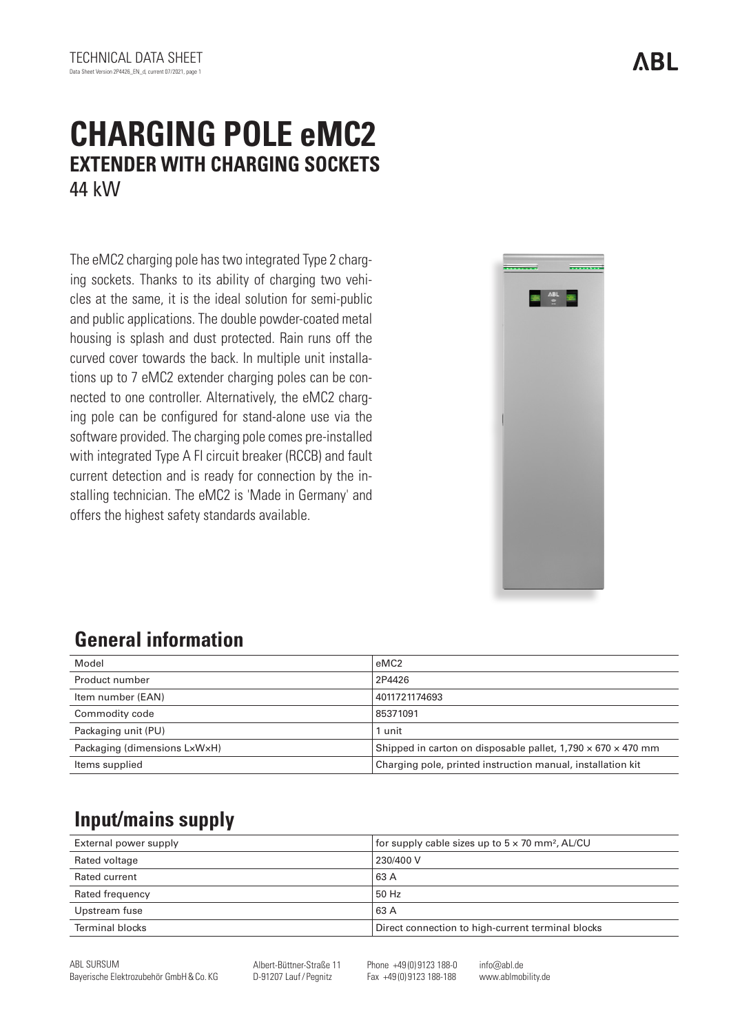# **CHARGING POLE eMC2 EXTENDER WITH CHARGING SOCKETS** 44 kW

The eMC2 charging pole has two integrated Type 2 charging sockets. Thanks to its ability of charging two vehicles at the same, it is the ideal solution for semi-public and public applications. The double powder-coated metal housing is splash and dust protected. Rain runs off the curved cover towards the back. In multiple unit installations up to 7 eMC2 extender charging poles can be connected to one controller. Alternatively, the eMC2 charging pole can be configured for stand-alone use via the software provided. The charging pole comes pre-installed with integrated Type A FI circuit breaker (RCCB) and fault current detection and is ready for connection by the installing technician. The eMC2 is 'Made in Germany' and offers the highest safety standards available.



## **General information**

| Model                        | eMC <sub>2</sub>                                                         |
|------------------------------|--------------------------------------------------------------------------|
| Product number               | 2P4426                                                                   |
| Item number (EAN)            | 4011721174693                                                            |
| Commodity code               | 85371091                                                                 |
| Packaging unit (PU)          | 1 unit                                                                   |
| Packaging (dimensions LxWxH) | Shipped in carton on disposable pallet, $1,790 \times 670 \times 470$ mm |
| Items supplied               | Charging pole, printed instruction manual, installation kit              |

## **Input/mains supply**

| External power supply | for supply cable sizes up to $5 \times 70$ mm <sup>2</sup> , AL/CU |
|-----------------------|--------------------------------------------------------------------|
| Rated voltage         | 230/400 V                                                          |
| Rated current         | 63 A                                                               |
| Rated frequency       | 50 Hz                                                              |
| Upstream fuse         | 63 A                                                               |
| Terminal blocks       | Direct connection to high-current terminal blocks                  |

Albert-Büttner-Straße 11 D-91207 Lauf/ Pegnitz

Phone +49 (0) 9123 188-0 Fax +49 (0) 9123 188-188

info@abl.de www.ablmobility.de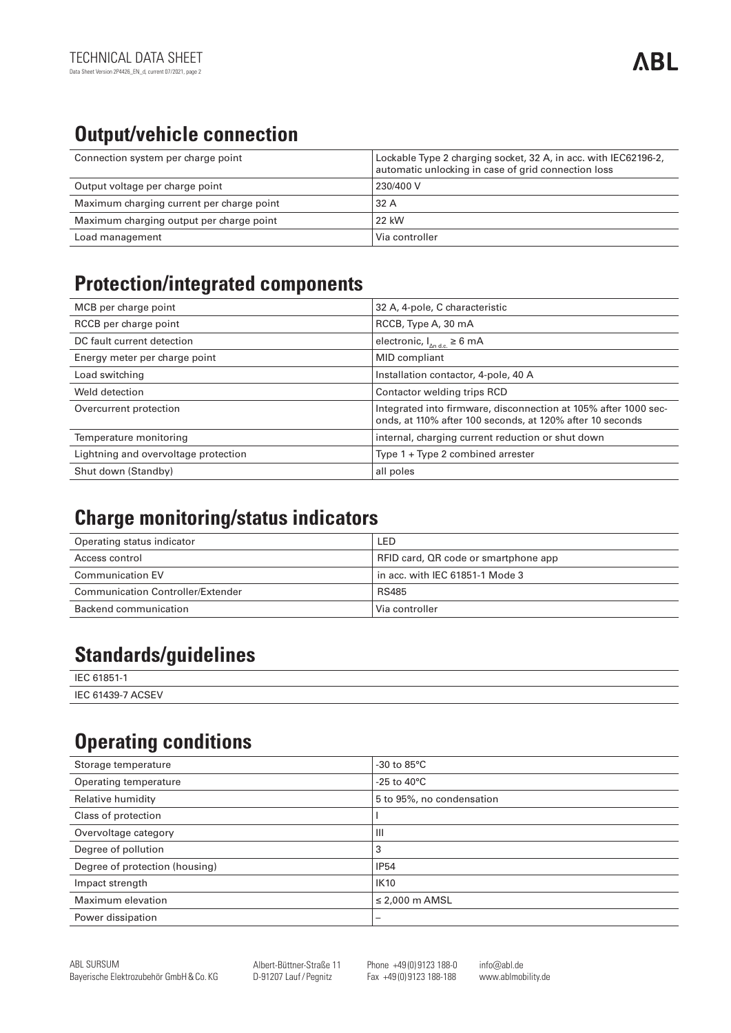# **Output/vehicle connection**

| Connection system per charge point        | Lockable Type 2 charging socket, 32 A, in acc. with IEC62196-2,<br>automatic unlocking in case of grid connection loss |
|-------------------------------------------|------------------------------------------------------------------------------------------------------------------------|
| Output voltage per charge point           | 230/400 V                                                                                                              |
| Maximum charging current per charge point | 32 A                                                                                                                   |
| Maximum charging output per charge point  | 22 kW                                                                                                                  |
| Load management                           | Via controller                                                                                                         |

#### **Protection/integrated components**

| MCB per charge point                 | 32 A, 4-pole, C characteristic                                                                                               |
|--------------------------------------|------------------------------------------------------------------------------------------------------------------------------|
| RCCB per charge point                | RCCB, Type A, 30 mA                                                                                                          |
| DC fault current detection           | electronic, $I_{\text{And}} \ge 6 \text{ mA}$                                                                                |
| Energy meter per charge point        | MID compliant                                                                                                                |
| Load switching                       | Installation contactor, 4-pole, 40 A                                                                                         |
| Weld detection                       | Contactor welding trips RCD                                                                                                  |
| Overcurrent protection               | Integrated into firmware, disconnection at 105% after 1000 sec-<br>onds, at 110% after 100 seconds, at 120% after 10 seconds |
| Temperature monitoring               | internal, charging current reduction or shut down                                                                            |
| Lightning and overvoltage protection | Type $1 + Type 2$ combined arrester                                                                                          |
| Shut down (Standby)                  | all poles                                                                                                                    |

# **Charge monitoring/status indicators**

| Operating status indicator        | LED                                  |
|-----------------------------------|--------------------------------------|
| Access control                    | RFID card, QR code or smartphone app |
| <b>Communication EV</b>           | in acc. with IEC 61851-1 Mode 3 $\,$ |
| Communication Controller/Extender | RS485                                |
| Backend communication             | Via controller                       |

## **Standards/guidelines**

| IEC.<br>C <sub>1</sub> OC <sub>1</sub> |  |
|----------------------------------------|--|
| IFC $61$<br>1439-<br>$\cdots$<br>י ⊐כ. |  |

### **Operating conditions**

| Storage temperature            | -30 to $85^{\circ}$ C     |
|--------------------------------|---------------------------|
| Operating temperature          | -25 to 40 $^{\circ}$ C    |
| Relative humidity              | 5 to 95%, no condensation |
| Class of protection            |                           |
| Overvoltage category           | $\mathbf{III}$            |
| Degree of pollution            | 3                         |
| Degree of protection (housing) | <b>IP54</b>               |
| Impact strength                | <b>IK10</b>               |
| Maximum elevation              | $\leq$ 2,000 m AMSL       |
| Power dissipation              |                           |
|                                |                           |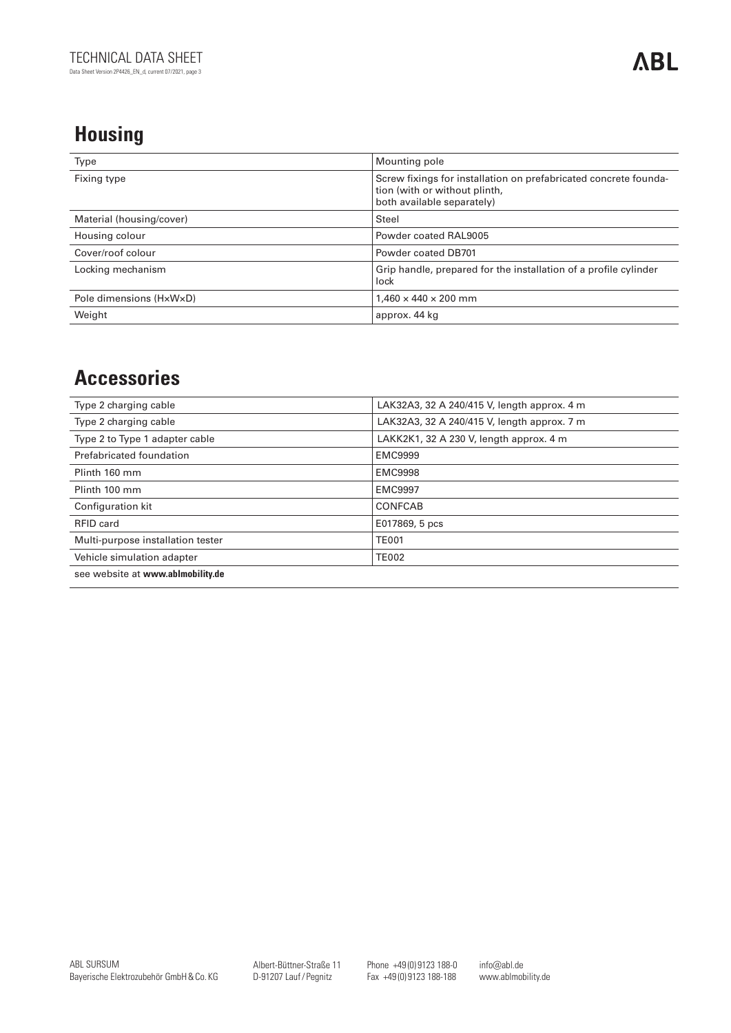# **Housing**

| Type                     | Mounting pole                                                                                                                   |
|--------------------------|---------------------------------------------------------------------------------------------------------------------------------|
| Fixing type              | Screw fixings for installation on prefabricated concrete founda-<br>tion (with or without plinth,<br>both available separately) |
| Material (housing/cover) | Steel                                                                                                                           |
| Housing colour           | Powder coated RAL9005                                                                                                           |
| Cover/roof colour        | Powder coated DB701                                                                                                             |
| Locking mechanism        | Grip handle, prepared for the installation of a profile cylinder<br>lock                                                        |
| Pole dimensions (HxWxD)  | $1.460 \times 440 \times 200$ mm                                                                                                |
| Weight                   | approx. 44 kg                                                                                                                   |

### **Accessories**

| Type 2 charging cable             | LAK32A3, 32 A 240/415 V, length approx. 4 m |
|-----------------------------------|---------------------------------------------|
| Type 2 charging cable             | LAK32A3, 32 A 240/415 V, length approx. 7 m |
| Type 2 to Type 1 adapter cable    | LAKK2K1, 32 A 230 V, length approx. 4 m     |
| Prefabricated foundation          | <b>EMC9999</b>                              |
| Plinth 160 mm                     | <b>EMC9998</b>                              |
| Plinth 100 mm                     | <b>EMC9997</b>                              |
| Configuration kit                 | <b>CONFCAB</b>                              |
| RFID card                         | E017869, 5 pcs                              |
| Multi-purpose installation tester | <b>TE001</b>                                |
| Vehicle simulation adapter        | <b>TE002</b>                                |
| see website at www.ablmobility.de |                                             |